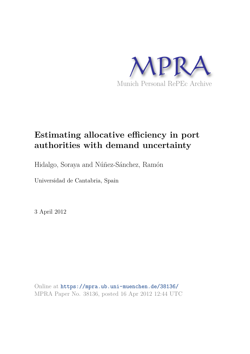

# **Estimating allocative efficiency in port authorities with demand uncertainty**

Hidalgo, Soraya and Núñez-Sánchez, Ramón

Universidad de Cantabria, Spain

3 April 2012

Online at https://mpra.ub.uni-muenchen.de/38136/ MPRA Paper No. 38136, posted 16 Apr 2012 12:44 UTC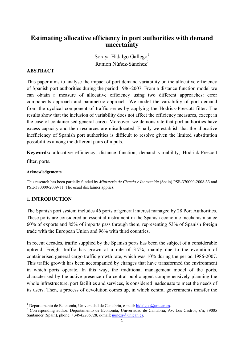# **Estimating allocative efficiency in port authorities with demand uncertainty**

Soraya Hidalgo Gallego<sup>1</sup> Ramón Núñez-Sánchez<sup>2</sup>

# **ABSTRACT**

This paper aims to analyse the impact of port demand variability on the allocative efficiency of Spanish port authorities during the period 1986-2007. From a distance function model we can obtain a measure of allocative efficiency using two different approaches: error components approach and parametric approach. We model the variability of port demand from the cyclical component of traffic series by applying the Hodrick-Prescott filter. The results show that the inclusion of variability does not affect the efficiency measures, except in the case of containerised general cargo. Moreover, we demonstrate that port authorities have excess capacity and their resources are misallocated. Finally we establish that the allocative inefficiency of Spanish port authorities is difficult to resolve given the limited substitution possibilities among the different pairs of inputs.

**Keywords:** allocative efficiency, distance function, demand variability, Hodrick-Prescott

filter, ports.

#### **Acknowledgements**

This research has been partially funded by *Ministerio de Ciencia e Innovación* (Spain) PSE-370000-2008-33 and PSE-370000-2009-11. The usual disclaimer applies.

# **1. INTRODUCTION**

The Spanish port system includes 46 ports of general interest managed by 28 Port Authorities. These ports are considered an essential instrument in the Spanish economic mechanism since 60% of exports and 85% of imports pass through them, representing 53% of Spanish foreign trade with the European Union and 96% with third countries.

In recent decades, traffic supplied by the Spanish ports has been the subject of a considerable uptrend. Freight traffic has grown at a rate of 3.7%, mainly due to the evolution of containerised general cargo traffic growth rate, which was 10% during the period 1986-2007. This traffic growth has been accompanied by changes that have transformed the environment in which ports operate. In this way, the traditional management model of the ports, characterised by the active presence of a central public agent comprehensively planning the whole infrastructure, port facilities and services, is considered inadequate to meet the needs of its users. Then, a process of devolution comes up, in which central governments transfer the

<sup>&</sup>lt;sup>1</sup> Departamento de Economía, Universidad de Cantabria, e-mail: hidalgos@unican.es.

<sup>&</sup>lt;sup>2</sup> Corresponding author. Departamento de Economía, Universidad de Cantabria, Av. Los Castros, s/n, 39005 Santander (Spain), phone:  $+34942206728$ , e-mail: nunezr@unican.es.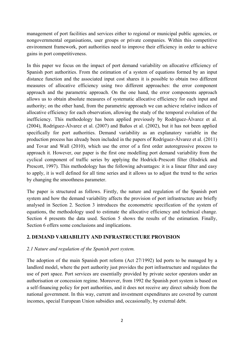management of port facilities and services either to regional or municipal public agencies, or nongovernmental organisations, user groups or private companies. Within this competitive environment framework, port authorities need to improve their efficiency in order to achieve gains in port competitiveness.

In this paper we focus on the impact of port demand variability on allocative efficiency of Spanish port authorities. From the estimation of a system of equations formed by an input distance function and the associated input cost shares it is possible to obtain two different measures of allocative efficiency using two different approaches: the error component approach and the parametric approach. On the one hand, the error components approach allows us to obtain absolute measures of systematic allocative efficiency for each input and authority; on the other hand, from the parametric approach we can achieve relative indices of allocative efficiency for each observation, allowing the study of the temporal evolution of the inefficiency. This methodology has been applied previously by Rodríguez-Álvarez et al. (2004), Rodríguez-Álvarez et al. (2007) and Baños et al. (2002), but it has not been applied specifically for port authorities. Demand variability as an explanatory variable in the production process has already been included in the papers of Rodríguez-Álvarez et al. (2011) and Tovar and Wall (2010), which use the error of a first order autoregressive process to approach it. However, our paper is the first one modelling port demand variability from the cyclical component of traffic series by applying the Hodrick-Prescott filter (Hodrick and Prescott, 1997). This methodology has the following advantages: it is a linear filter and easy to apply, it is well defined for all time series and it allows us to adjust the trend to the series by changing the smoothness parameter.

The paper is structured as follows. Firstly, the nature and regulation of the Spanish port system and how the demand variability affects the provision of port infrastructure are briefly analysed in Section 2. Section 3 introduces the econometric specification of the system of equations, the methodology used to estimate the allocative efficiency and technical change. Section 4 presents the data used. Section 5 shows the results of the estimation. Finally, Section 6 offers some conclusions and implications.

# **2. DEMAND VARIABILITY AND INFRASTRUCTURE PROVISION**

#### *2.1 Nature and regulation of the Spanish port system.*

The adoption of the main Spanish port reform (Act 27/1992) led ports to be managed by a landlord model, where the port authority just provides the port infrastructure and regulates the use of port space. Port services are essentially provided by private sector operators under an authorisation or concession regime. Moreover, from 1992 the Spanish port system is based on a self-financing policy for port authorities, and it does not receive any direct subsidy from the national government. In this way, current and investment expenditures are covered by current incomes, special European Union subsidies and, occasionally, by external debt.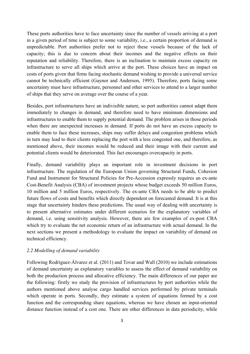These ports authorities have to face uncertainty since the number of vessels arriving at a port in a given period of time is subject to some variability, i.e., a certain proportion of demand is unpredictable. Port authorities prefer not to reject these vessels because of the lack of capacity; this is due to concern about their incomes and the negative effects on their reputation and reliability. Therefore, there is an inclination to maintain excess capacity on infrastructure to serve all ships which arrive at the port. These choices have an impact on costs of ports given that firms facing stochastic demand wishing to provide a universal service cannot be technically efficient (Gaynor and Anderson, 1995). Therefore, ports facing some uncertainty must have infrastructure, personnel and other services to attend to a larger number of ships that they serve on average over the course of a year.

Besides, port infrastructures have an indivisible nature, so port authorities cannot adapt them immediately to changes in demand, and therefore need to have minimum dimensions and infrastructures to enable them to supply potential demand. The problem arises in those periods when there are unexpected increases in demand. If ports do not have an excess capacity to enable them to face these increases, ships may suffer delays and congestion problems which in turn may lead to their clients replacing the port with a less congested one, and therefore, as mentioned above, their incomes would be reduced and their image with their current and potential clients would be deteriorated. This fact encourages overcapacity in ports.

Finally, demand variability plays an important role in investment decisions in port infrastructure. The regulation of the European Union governing Structural Funds, Cohesion Fund and Instrument for Structural Policies for Pre-Accession expressly requires an ex-ante Cost-Benefit Analysis (CBA) of investment projects whose budget exceeds 50 million Euros, 10 million and 5 million Euros, respectively. The ex-ante CBA needs to be able to predict future flows of costs and benefits which directly dependent on forecasted demand. It is at this stage that uncertainty hinders these predictions. The usual way of dealing with uncertainty is to present alternative estimates under different scenarios for the explanatory variables of demand, i.e. using sensitivity analysis. However, there are few examples of ex-post CBA which try to evaluate the net economic return of an infrastructure with actual demand. In the next sections we present a methodology to evaluate the impact on variability of demand on technical efficiency.

# *2.2 Modelling of demand variability*

Following Rodríguez-Álvarez et al. (2011) and Tovar and Wall (2010) we include estimations of demand uncertainty as explanatory variables to assess the effect of demand variability on both the production process and allocative efficiency. The main differences of our paper are the following: firstly we study the provision of infrastructures by port authorities while the authors mentioned above analyse cargo handled services performed by private terminals which operate in ports. Secondly, they estimate a system of equations formed by a cost function and the corresponding share equations, whereas we have chosen an input-oriented distance function instead of a cost one. There are other differences in data periodicity, while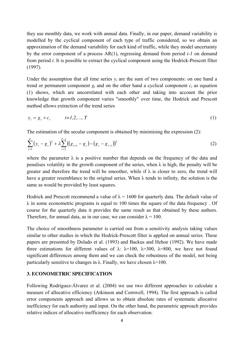they use monthly data, we work with annual data. Finally, in our paper, demand variability is modelled by the cyclical component of each type of traffic considered, so we obtain an approximation of the demand variability for each kind of traffic, while they model uncertainty by the error component of a process AR(1), regressing demand from period *t-1* on demand from period *t*. It is possible to extract the cyclical component using the Hodrick-Prescott filter (1997).

Under the assumption that all time series  $y_t$  are the sum of two components: on one hand a trend or permanent component  $g_t$  and on the other hand a cyclical component  $c_t$  as equation (1) shows, which are uncorrelated with each other and taking into account the prior knowledge that growth component varies "smoothly" over time, the Hodrick and Prescott method allows extraction of the trend series

$$
y_t = g_t + c_t \qquad t = 1, 2, ..., T \tag{1}
$$

The estimation of the secular component is obtained by minimising the expression (2):

$$
\sum_{t=1}^{T} (y_t - g_t)^2 + \lambda \sum_{t=2}^{T-1} ((g_{t+1} - g_t) - (g_t - g_{t-1}))^2
$$
 (2)

where the parameter  $\lambda$  is a positive number that depends on the frequency of the data and penalises volatility in the growth component of the series, when  $\lambda$  is high, the penalty will be greater and therefore the trend will be smoother, while if  $\lambda$  is closer to zero, the trend will have a greater resemblance to the original series. When  $\lambda$  tends to infinity, the solution is the same as would be provided by least squares.

Hodrick and Prescott recommend a value of  $\lambda = 1600$  for quarterly data. The default value of  $\lambda$  in some econometric programs is equal to 100 times the square of the data frequency. Of course for the quarterly data it provides the same result as that obtained by these authors. Therefore, for annual data, as in our case, we can consider  $\lambda = 100$ .

The choice of smoothness parameter is carried out from a sensitivity analysis taking values similar to other studies in which the Hodrick-Prescott filter is applied on annual series. These papers are presented by Dolado et al. (1993) and Backus and Hehoe (1992). We have made three estimations for different values of  $\lambda$ :  $\lambda$ =100,  $\lambda$ =300,  $\lambda$ =800, we have not found significant differences among them and we can check the robustness of the model, not being particularly sensitive to changes in  $\lambda$ . Finally, we have chosen  $\lambda$ =100.

# **3. ECONOMETRIC SPECIFICATION**

Following Rodríguez-Álvarez et al. (2004) we use two different approaches to calculate a measure of allocative efficiency (Atkinson and Cornwell, 1994). The first approach is called error components approach and allows us to obtain absolute rates of systematic allocative inefficiency for each authority and input. On the other hand, the parametric approach provides relative indices of allocative inefficiency for each observation.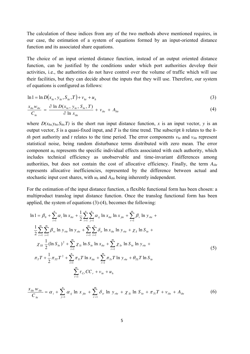The calculation of these indices from any of the two methods above mentioned requires, in our case, the estimation of a system of equations formed by an input-oriented distance function and its associated share equations.

The choice of an input oriented distance function, instead of an output oriented distance function, can be justified by the conditions under which port authorities develop their activities, i.e., the authorities do not have control over the volume of traffic which will use their facilities, but they can decide about the inputs that they will use. Therefore, our system of equations is configured as follows:

$$
\ln 1 = \ln D(x_{ht}, y_{ht}, S_{ht}, T) + v_{ht} + u_h
$$
\n(3)

$$
\frac{x_{i_{hl}}w_{i_{hl}}}{C_{hi}} = \frac{\partial \ln D(x_{hi}, y_{hi}, S_{hi}, T)}{\partial \ln x_{i_{hl}}} + v_{i_{hl}} + A_{i_{hl}}
$$
\n(4)

where  $D(x<sub>h</sub>,y<sub>h</sub>,S<sub>h</sub>,T)$  is the short run input distance function, *x* is an input vector, *y* is an output vector, *S* is a quasi-fixed input, and *T* is the time trend. The subscript *h* relates to the *hth* port authority and *t* relates to the time period. The error components  $v_{ht}$  and  $v_{iht}$  represent statistical noise, being random disturbance terms distributed with zero mean. The error component *uh* represents the specific individual effects associated with each authority, which includes technical efficiency as unobservable and time-invariant differences among authorities, but does not contain the cost of allocative efficiency. Finally, the term *Aiht* represents allocative inefficiencies, represented by the difference between actual and stochastic input cost shares, with  $u_h$  and  $A_{iht}$  being inherently independent.

For the estimation of the input distance function, a flexible functional form has been chosen: a multiproduct translog input distance function. Once the translog functional form has been applied, the system of equations (3)-(4), becomes the following:

$$
\ln 1 = \beta_0 + \sum_{i=1}^{n} \alpha_i \ln x_{iht} + \frac{1}{2} \sum_{i=1}^{n} \sum_{j=1}^{n} \alpha_{ij} \ln x_{iht} \ln x_{jht} + \sum_{r=1}^{m} \beta_r \ln y_{rht} + \frac{1}{2} \sum_{r=1}^{m} \sum_{s=1}^{m} \beta_{rs} \ln y_{rht} \ln y_{sht} + \sum_{r=1}^{m} \sum_{i=1}^{n} \delta_{ir} \ln x_{iht} \ln y_{rht} + \chi_s \ln S_{ht} + \frac{1}{2} \sum_{s=1}^{m} (\ln S_{ht})^2 + \sum_{i=1}^{m} \chi_{Si} \ln S_{ht} \ln x_{iht} + \sum_{r=1}^{m} \chi_{Sr} \ln S_{ht} \ln y_{rht} + \pi_{T} \sum_{r=1}^{m} \tau_{TT} T^2 + \sum_{i=1}^{n} \pi_{iT} T \ln x_{iht} + \sum_{r=1}^{m} \pi_{Tr} T \ln y_{rht} + \theta_{TS} T \ln S_{ht}
$$
\n
$$
\sum_{r=1}^{m} \tau_{Cr} CC_r + v_{ht} + u_h
$$
\n(5)

$$
\frac{x_{i_{h1}}w_{i_{h1}}}{C_{h1}} = \alpha_i + \sum_{j=1}^{n} \alpha_{ij} \ln x_{j_{h1}} + \sum_{r=1}^{m} \delta_{ir} \ln y_{r_{h1}} + \chi_{Si} \ln S_{h1} + \pi_{Ti} T + v_{i_{h1}} + A_{i_{h1}} \tag{6}
$$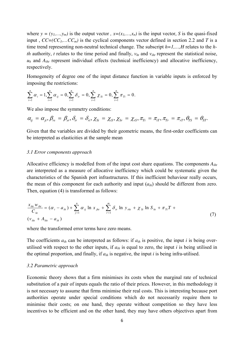where  $y = (y_1, \ldots, y_m)$  is the output vector,  $x=(x_1, \ldots, x_n)$  is the input vector, *S* is the quasi-fixed input,  $CC=(CC<sub>1</sub>,...CC<sub>m</sub>)$  is the cyclical components vector defined in section 2.2 and *T* is a time trend representing non-neutral technical change. The subscript *h=1,…,H* relates to the *hth* authority, *t* relates to the time period and finally,  $v<sub>ht</sub>$  and  $v<sub>ibt</sub>$  represent the statistical noise,  $u_h$  and  $A_{iht}$  represent individual effects (technical inefficiency) and allocative inefficiency, respectively.

Homogeneity of degree one of the input distance function in variable inputs is enforced by imposing the restrictions:

$$
\sum_{i=1}^n \alpha_i = 1, \sum_{i=1}^n \alpha_{ij} = 0, \sum_{i=1}^n \delta_{ir} = 0, \sum_{i=1}^n \chi_{Si} = 0, \sum_{i=1}^n \pi_{Ti} = 0.
$$

We also impose the symmetry conditions:

$$
\alpha_{ij} = \alpha_{ji}, \beta_{rs} = \beta_{sr}, \delta_{ir} = \delta_{ri}, \chi_{Si} = \chi_{is}, \chi_{Sr} = \chi_{rs}, \pi_{Ti} = \pi_{iT}, \pi_{Tr} = \pi_{rT}, \theta_{TS} = \theta_{ST}.
$$

Given that the variables are divided by their geometric means, the first-order coefficients can be interpreted as elasticities at the sample mean

#### *3.1 Error components approach*

Allocative efficiency is modelled from of the input cost share equations. The components *Aiht* are interpreted as a measure of allocative inefficiency which could be systematic given the characteristics of the Spanish port infrastructures. If this inefficient behaviour really occurs, the mean of this component for each authority and input  $(a_{ih})$  should be different from zero. Then, equation (4) is transformed as follows:

$$
\frac{x_{i_{h1}}w_{i_{h1}}}{C_{h1}} = (\alpha_i - a_{i_h}) + \sum_{j=1}^{n} \alpha_{ij} \ln x_{j_{h1}} + \sum_{r=1}^{m} \delta_{ir} \ln y_{r_{h1}} + \chi_{Si} \ln S_{h1} + \pi_{Ti} T +
$$
\n
$$
(v_{i_{h1}} + A_{i_{h1}} - a_{i_h})
$$

where the transformed error terms have zero means.

The coefficients *aih* can be interpreted as follows: if *aih* is positive, the input *i* is being overutilised with respect to the other inputs, if  $a_{ih}$  is equal to zero, the input *i* is being utilised in the optimal proportion, and finally, if  $a_{ih}$  is negative, the input  $i$  is being infra-utilised.

#### *3.2 Parametric approach*

Economic theory shows that a firm minimises its costs when the marginal rate of technical substitution of a pair of inputs equals the ratio of their prices. However, in this methodology it is not necessary to assume that firms minimise their real costs. This is interesting because port authorities operate under special conditions which do not necessarily require them to minimise their costs; on one hand, they operate without competition so they have less incentives to be efficient and on the other hand, they may have others objectives apart from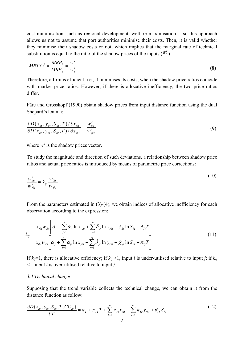cost minimisation, such as regional development, welfare maximisation… so this approach allows us not to assume that port authorities minimise their costs. Then, it is valid whether they minimise their shadow costs or not, which implies that the marginal rate of technical substitution is equal to the ratio of the shadow prices of the inputs  $(\mathbf{w}_i^s)$ 

$$
MRTS_i^j = \frac{MRP_i}{MRP_j} = \frac{w_i^s}{w_j^s}
$$
\n
$$
(8)
$$

Therefore, a firm is efficient, i.e., it minimises its costs, when the shadow price ratios coincide with market price ratios. However, if there is allocative inefficiency, the two price ratios differ.

Färe and Grosskopf (1990) obtain shadow prices from input distance function using the dual Shepard's lemma:

$$
\frac{\partial D(x_{ht}, y_{ht}, S_{ht}, T)/\partial x_{iht}}{\partial D(x_{ht}, y_{ht}, S_{ht}, T)/\partial x_{jht}} = \frac{w_{iht}^s}{w_{jht}^s}
$$
(9)

where  $w^s$  is the shadow prices vector.

To study the magnitude and direction of such deviations, a relationship between shadow price ratios and actual price ratios is introduced by means of parametric price corrections:

$$
\frac{w_{iht}^s}{w_{jht}^s} = k_{ij} \frac{w_{iht}}{w_{jht}}
$$
 (10)

From the parameters estimated in (3)-(4), we obtain indices of allocative inefficiency for each observation according to the expression:

$$
k_{ij} = \frac{x_{jht} w_{jht} \left[ \hat{\alpha}_i + \sum_{j=1}^n \hat{\alpha}_{ij} \ln x_{jht} + \sum_{r=1}^m \hat{\delta}_{ir} \ln y_{rht} + \hat{\chi}_{Si} \ln S_{ht} + \hat{\pi}_{Ti} T \right]}{x_{iht} w_{iht} \left[ \hat{\alpha}_j + \sum_{j=1}^n \hat{\alpha}_{ij} \ln x_{jht} + \sum_{r=1}^m \hat{\delta}_{jr} \ln y_{rht} + \hat{\chi}_{Sj} \ln S_{ht} + \hat{\pi}_{Tj} T \right]}
$$
(11)

If  $k_{ij}=1$ , there is allocative efficiency; if  $k_{ij} > 1$ , input *i* is under-utilised relative to input *j*; if  $k_{ij}$ <1, input *i* is over-utilised relative to input *j*.

#### *3.3 Technical change*

Supposing that the trend variable collects the technical change, we can obtain it from the distance function as follow:

$$
\frac{\partial D(x_{ht}, y_{ht}, S_{ht}, T, CC_{ht})}{\partial T} = \pi_T + \pi_{TT}T + \sum_{i=1}^{n} \pi_{Ti}x_{iht} + \sum_{r=1}^{m} \pi_{Tr}y_{rht} + \theta_{TS}S_{ht}
$$
\n(12)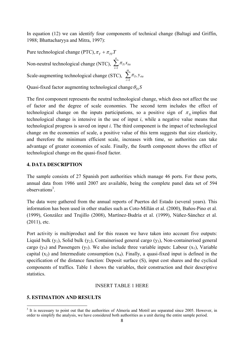In equation (12) we can identify four components of technical change (Baltagi and Griffin, 1988; Bhattacharyya and Mitra, 1997):

 $\sum_{i=1}^n$ *i*  $T_i$ <sup> $\chi$ </sup>iht 1 Non-neutral technological change (NTC),  $\sum \pi$ Pure technological change (PTC),  $\pi$ <sub>T</sub> +  $\pi$ <sub>TT</sub>T  $\sum_{r=1}^m$ *r Tr rht y* 1 Scale-augmenting technological change (STC),  $\sum \pi$ 

Quasi-fixed factor augmenting technological change  $\theta_{rs}$ S

The first component represents the neutral technological change, which does not affect the use of factor and the degree of scale economies. The second term includes the effect of technological change on the inputs participations, so a positive sign of  $\pi_{\tau_i}$  implies that technological change is intensive in the use of input *i*, while a negative value means that technological progress is saved on input *i*. The third component is the impact of technological change on the economies of scale, a positive value of this term suggests that size elasticity, and therefore the minimum efficient scale, increases with time, so authorities can take advantage of greater economies of scale. Finally, the fourth component shows the effect of technological change on the quasi-fixed factor.

# **4. DATA DESCRIPTION**

The sample consists of 27 Spanish port authorities which manage 46 ports. For these ports, annual data from 1986 until 2007 are available, being the complete panel data set of 594 observations<sup>3</sup>.

The data were gathered from the annual reports of Puertos del Estado (several years). This information has been used in other studies such as Coto-Millán et al. (2000), Baños-Pino et al. (1999), González and Trujillo (2008), Martínez-Budría et al. (1999), Núñez-Sánchez et al. (2011), etc.

Port activity is multiproduct and for this reason we have taken into account five outputs: Liquid bulk  $(y_1)$ , Solid bulk  $(y_2)$ , Containerised general cargo  $(y_3)$ , Non-containerised general cargo (y<sub>4</sub>) and Passengers (y<sub>5</sub>). We also include three variable inputs: Labour (x<sub>1</sub>), Variable capital  $(x_2)$  and Intermediate consumption  $(x_4)$ . Finally, a quasi-fixed input is defined in the specification of the distance function: Deposit surface (S), input cost shares and the cyclical components of traffics. Table 1 shows the variables, their construction and their descriptive statistics.

#### INSERT TABLE 1 HERE

#### **5. ESTIMATION AND RESULTS**

<sup>&</sup>lt;sup>3</sup> It is necessary to point out that the authorities of Almería and Motril are separated since 2005. However, in order to simplify the analysis, we have considered both authorities as a unit during the entire sample period.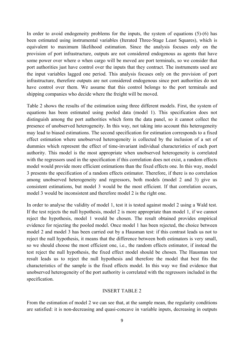In order to avoid endogeneity problems for the inputs, the system of equations (5)-(6) has been estimated using instrumental variables (Iterated Three-Stage Least Squares), which is equivalent to maximum likelihood estimation. Since the analysis focuses only on the provision of port infrastructure, outputs are not considered endogenous as agents that have some power over where o when cargo will be moved are port terminals, so we consider that port authorities just have control over the inputs that they contract. The instruments used are the input variables lagged one period. This analysis focuses only on the provision of port infrastructure, therefore outputs are not considered endogenous since port authorities do not have control over them. We assume that this control belongs to the port terminals and shipping companies who decide where the freight will be moved.

Table 2 shows the results of the estimation using three different models. First, the system of equations has been estimated using pooled data (model 1). This specification does not distinguish among the port authorities which form the data panel, so it cannot collect the presence of unobserved heterogeneity. In this way, not taking into account this heterogeneity may lead to biased estimations. The second specification for estimation corresponds to a fixed effect estimation where unobserved heterogeneity is collected by the inclusion of a set of dummies which represent the effect of time-invariant individual characteristics of each port authority. This model is the most appropriate when unobserved heterogeneity is correlated with the regressors used in the specification if this correlation does not exist, a random effects model would provide more efficient estimations than the fixed effects one. In this way, model 3 presents the specification of a random effects estimator. Therefore, if there is no correlation among unobserved heterogeneity and regressors, both models (model 2 and 3) give us consistent estimations, but model 3 would be the most efficient. If that correlation occurs, model 3 would be inconsistent and therefore model 2 is the right one.

In order to analyse the validity of model 1, test it is tested against model 2 using a Wald test. If the test rejects the null hypothesis, model 2 is more appropriate than model 1, if we cannot reject the hypothesis, model 1 would be chosen. The result obtained provides empirical evidence for rejecting the pooled model. Once model 1 has been rejected, the choice between model 2 and model 3 has been carried out by a Hausman test: if this contrast leads us not to reject the null hypothesis, it means that the difference between both estimators is very small, so we should choose the most efficient one, i.e., the random effects estimator, if instead the test reject the null hypothesis, the fixed effect model should be chosen. The Hausman test result leads us to reject the null hypothesis and therefore the model that best fits the characteristics of the sample is the fixed effects model. In this way we find evidence that unobserved heterogeneity of the port authority is correlated with the regressors included in the specification.

#### INSERT TABLE 2

From the estimation of model 2 we can see that, at the sample mean, the regularity conditions are satisfied: it is non-decreasing and quasi-concave in variable inputs, decreasing in outputs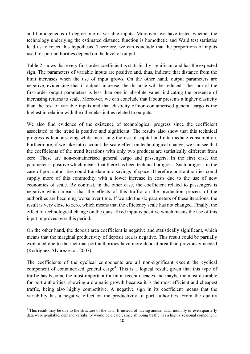and homogeneous of degree one in variable inputs. Moreover, we have tested whether the technology underlying the estimated distance function is homothetic and Wald test statistics lead us to reject this hypothesis. Therefore, we can conclude that the proportions of inputs used for port authorities depend on the level of output.

Table 2 shows that every first-order coefficient is statistically significant and has the expected sign. The parameters of variable inputs are positive and, thus, indicate that distance from the limit increases when the use of input grows. On the other hand, output parameters are negative, evidencing that if outputs increase, the distance will be reduced. The sum of the first-order output parameters is less than one in absolute value, indicating the presence of increasing returns to scale. Moreover, we can conclude that labour presents a higher elasticity than the rest of variable inputs and that elasticity of non-containerised general cargo is the highest in relation with the other elasticities related to outputs.

We also find evidence of the existence of technological progress since the coefficient associated to the trend is positive and significant. The results also show that this technical progress is labour-saving while increasing the use of capital and intermediate consumption. Furthermore, if we take into account the scale effect on technological change, we can see that the coefficients of the trend iterations with only two products are statistically different from zero. These are non-containerised general cargo and passengers. In the first case, the parameter is positive which means that there has been technical progress. Such progress in the case of port authorities could translate into savings of space. Therefore port authorities could supply more of this commodity with a lower increase in costs due to the use of new economies of scale. By contrast, in the other case, the coefficient related to passengers is negative which means that the effects of this traffic on the production process of the authorities are becoming worse over time. If we add the six parameters of these iterations, the result is very close to zero, which means that the efficiency scale has not changed. Finally, the effect of technological change on the quasi-fixed input is positive which means the use of this input improves over this period.

On the other hand, the deposit area coefficient is negative and statistically significant, which means that the marginal productivity of deposit area is negative. This result could be partially explained due to the fact that port authorities have more deposit area than previously needed (Rodríguez-Álvarez et al. 2007).

The coefficients of the cyclical components are all non-significant except the cyclical component of containerised general cargo<sup>4.</sup> This is a logical result, given that this type of traffic has become the most important traffic in recent decades and maybe the most desirable for port authorities, showing a dramatic growth because it is the most efficient and cheapest traffic, being also highly competitive. A negative sign in its coefficient means that the variability has a negative effect on the productivity of port authorities. From the duality

<sup>&</sup>lt;sup>4</sup> This result may be due to the structure of the data. If instead of having annual data, monthly or even quarterly data were available, demand variability would be clearer, since shipping traffic has a highly seasonal component.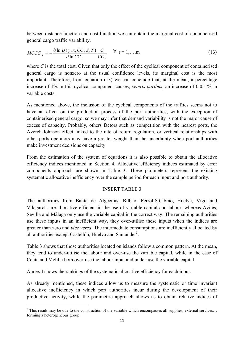between distance function and cost function we can obtain the marginal cost of containerised general cargo traffic variability.

$$
MCCC_r = -\frac{\partial \ln D(y, x, CC, S, T)}{\partial \ln CC_r} \frac{C}{CC_r} \quad \forall \ \mathbf{r} = 1,...,m
$$
 (13)

where *C* is the total cost. Given that only the effect of the cyclical component of containerised general cargo is nonzero at the usual confidence levels, its marginal cost is the most important. Therefore, from equation (13) we can conclude that, at the mean, a percentage increase of 1% in this cyclical component causes, *ceteris paribus*, an increase of 0.051% in variable costs.

As mentioned above, the inclusion of the cyclical components of the traffics seems not to have an effect on the production process of the port authorities, with the exception of containerised general cargo, so we may infer that demand variability is not the major cause of excess of capacity. Probably, others factors such as competition with the nearest ports, the Averch-Johnson effect linked to the rate of return regulation, or vertical relationships with other ports operators may have a greater weight than the uncertainty when port authorities make investment decisions on capacity.

From the estimation of the system of equations it is also possible to obtain the allocative efficiency indices mentioned in Section 4. Allocative efficiency indices estimated by error components approach are shown in Table 3. These parameters represent the existing systematic allocative inefficiency over the sample period for each input and port authority.

# INSERT TABLE 3

The authorities from Bahía de Algeciras, Bilbao, Ferrol-S.Cibrao, Huelva, Vigo and Vilagarcía are allocative efficient in the use of variable capital and labour, whereas Avilés, Sevilla and Málaga only use the variable capital in the correct way. The remaining authorities use these inputs in an inefficient way, they over-utilise these inputs when the indices are greater than zero and *vice versa*. The intermediate consumptions are inefficiently allocated by all authorities except Castellón, Huelva and Santander<sup>5</sup>.

Table 3 shows that those authorities located on islands follow a common pattern. At the mean, they tend to under-utilise the labour and over-use the variable capital, while in the case of Ceuta and Melilla both over-use the labour input and under-use the variable capital.

Annex I shows the rankings of the systematic allocative efficiency for each input.

As already mentioned, these indices allow us to measure the systematic or time invariant allocative inefficiency in which port authorities incur during the development of their productive activity, while the parametric approach allows us to obtain relative indices of

 $<sup>5</sup>$  This result may be due to the construction of the variable which encompasses all supplies, external services...</sup> forming a heterogeneous group.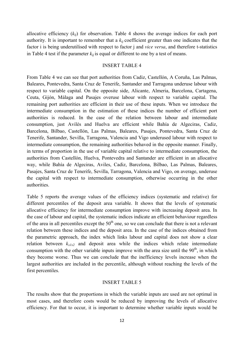allocative efficiency  $(k_{ii})$  for observation. Table 4 shows the average indices for each port authority. It is important to remember that a *kij* coefficient greater than one indicates that the factor i is being underutilised with respect to factor j and *vice versa*, and therefore t-statistics in Table 4 test if the parameter  $k_{ij}$  is equal or different to one by a test of means.

#### INSERT TABLE 4

From Table 4 we can see that port authorities from Cadiz, Castellón, A Coruña, Las Palmas, Baleares, Pontevedra, Santa Cruz de Tenerife, Santander and Tarragona underuse labour with respect to variable capital. On the opposite side, Alicante, Almeria, Barcelona, Cartagena, Ceuta, Gijón, Málaga and Pasajes overuse labour with respect to variable capital. The remaining port authorities are efficient in their use of these inputs. When we introduce the intermediate consumption in the estimation of these indices the number of efficient port authorities is reduced. In the case of the relation between labour and intermediate consumption, just Avilés and Huelva are efficient while Bahía de Algeciras, Cadiz, Barcelona, Bilbao, Castellón, Las Palmas, Baleares, Pasajes, Pontevedra, Santa Cruz de Tenerife, Santander, Sevilla, Tarragona, Valencia and Vigo underused labour with respect to intermediate consumption, the remaining authorities behaved in the opposite manner. Finally, in terms of proportion in the use of variable capital relative to intermediate consumption, the authorities from Castellón, Huelva, Pontevedra and Santander are efficient in an allocative way, while Bahía de Algeciras, Aviles, Cadiz, Barcelona, Bilbao, Las Palmas, Baleares, Pasajes, Santa Cruz de Tenerife, Sevilla, Tarragona, Valencia and Vigo, on average, underuse the capital with respect to intermediate consumption, otherwise occurring in the other authorities.

Table 5 reports the average values of the efficiency indices (systematic and relative) for different percentiles of the deposit area variable. It shows that the levels of systematic allocative efficiency for intermediate consumption improve with increasing deposit area. In the case of labour and capital, the systematic indices indicate an efficient behaviour regardless of the area in all percentiles except the  $50<sup>th</sup>$  one, so we can conclude that there is not a relevant relation between these indices and the deposit area. In the case of the indices obtained from the parametric approach, the index which links labour and capital does not show a clear relation between  $k_{x1x2}$  and deposit area while the indices which relate intermediate consumption with the other variable inputs improve with the area size until the  $90<sup>th</sup>$ , in which they become worse. Thus we can conclude that the inefficiency levels increase when the largest authorities are included in the percentile, although without reaching the levels of the first percentiles.

#### INSERT TABLE 5

The results show that the proportions in which the variable inputs are used are not optimal in most cases, and therefore costs would be reduced by improving the levels of allocative efficiency. For that to occur, it is important to determine whether variable inputs would be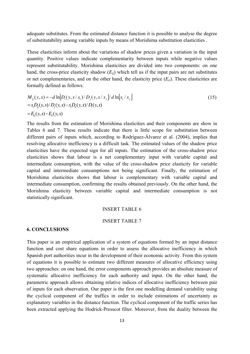adequate substitutes. From the estimated distance function it is possible to analyse the degree of substitutability among variable inputs by means of Morishima substitution elasticities .

These elasticities inform about the variations of shadow prices given a variation in the input quantity. Positive values indicate complementarity between inputs while negative values represent substitutability. Morishima elasticities are divided into two components: on one hand, the cross-price elasticity shadow  $(E_{ii})$  which tell us if the input pairs are net substitutes or net complementaries, and on the other hand, the elasticity price (*Eii*). These elasticities are formally defined as follows:

$$
M_{ij}(y, x) = -d \ln[D_i(y, x / x_i) / D_j(y, x / x_j) / d \ln[x_i / x_j]
$$
  
=  $x_i D_{ij}(y, x) / D_j(y, x) - x_i D_{ii}(y, x) / D_i(y, x)$   
=  $E_{ij}(y, x) - E_{ii}(y, x)$  (15)

The results from the estimation of Morishima elasticities and their components are show in Tables 6 and 7. These results indicate that there is little scope for substitution between different pairs of inputs which, according to Rodríguez-Álvarez et al. (2004), implies that resolving allocative inefficiency is a difficult task. The estimated values of the shadow price elasticities have the expected sign for all inputs. The estimation of the cross-shadow price elasticities shows that labour is a net complementary input with variable capital and intermediate consumption, with the value of the cross-shadow price elasticity for variable capital and intermediate consumptions not being significant. Finally, the estimation of Morishima elasticities shows that labour is complementary with variable capital and intermediate consumption, confirming the results obtained previously. On the other hand, the Morishima elasticity between variable capital and intermediate consumption is not statistically significant.

## INSERT TABLE 6

#### INSERT TABLE 7

# **6. CONCLUSIONS**

This paper is an empirical application of a system of equations formed by an input distance function and cost share equations in order to assess the allocative inefficiency in which Spanish port authorities incur in the development of their economic activity. From this system of equations it is possible to estimate two different measures of allocative efficiency using two approaches: on one hand, the error components approach provides an absolute measure of systematic allocative inefficiency for each authority and input. On the other hand, the parametric approach allows obtaining relative indices of allocative inefficiency between pair of inputs for each observation. Our paper is the first one modelling demand variability using the cyclical component of the traffics in order to include estimations of uncertainty as explanatory variables in the distance function. The cyclical component of the traffic series has been extracted applying the Hodrick-Presscot filter. Moreover, from the duality between the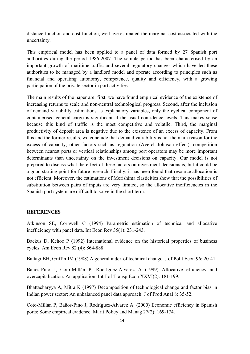distance function and cost function, we have estimated the marginal cost associated with the uncertainty.

This empirical model has been applied to a panel of data formed by 27 Spanish port authorities during the period 1986-2007. The sample period has been characterised by an important growth of maritime traffic and several regulatory changes which have led these authorities to be managed by a landlord model and operate according to principles such as financial and operating autonomy, competence, quality and efficiency, with a growing participation of the private sector in port activities.

The main results of the paper are: first, we have found empirical evidence of the existence of increasing returns to scale and non-neutral technological progress. Second, after the inclusion of demand variability estimations as explanatory variables, only the cyclical component of containerised general cargo is significant at the usual confidence levels. This makes sense because this kind of traffic is the most competitive and volatile. Third, the marginal productivity of deposit area is negative due to the existence of an excess of capacity. From this and the former results, we conclude that demand variability is not the main reason for the excess of capacity; other factors such as regulation (Averch-Johnson effect), competition between nearest ports or vertical relationships among port operators may be more important determinants than uncertainty on the investment decisions on capacity. Our model is not prepared to discuss what the effect of these factors on investment decisions is, but it could be a good starting point for future research. Finally, it has been found that resource allocation is not efficient. Moreover, the estimations of Morishima elasticities show that the possibilities of substitution between pairs of inputs are very limited, so the allocative inefficiencies in the Spanish port system are difficult to solve in the short term.

## **REFERENCES**

Atkinson SE, Cornwell C (1994) Parametric estimation of technical and allocative inefficiency with panel data. Int Econ Rev 35(1): 231-243.

Backus D, Kehoe P (1992) International evidence on the historical properties of business cycles. Am Econ Rev 82 (4): 864-888.

Baltagi BH, Griffin JM (1988) A general index of technical change. J of Polit Econ 96: 20-41.

Baños-Pino J, Coto-Millán P, Rodríguez-Álvarez A (1999) Allocative efficiency and overcapitalization: An application. Int J of Transp Econ XXVI(2): 181-199.

Bhattacharyya A, Mitra K (1997) Decomposition of technological change and factor bias in Indian power sector: An unbalanced panel data approach. J of Prod Anal 8: 35-52.

Coto-Millán P, Baños-Pino J, Rodríguez-Álvarez A. (2000) Economic efficiency in Spanish ports: Some empirical evidence. Marit Policy and Manag 27(2): 169-174.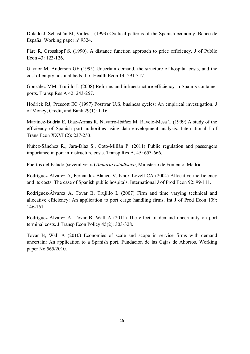Dolado J, Sebastián M, Vallés J (1993) Cyclical patterns of the Spanish economy. Banco de España. Working paper nº 9324.

Färe R, Grosskopf S. (1990). A distance function approach to price efficiency. J of Public Econ 43: 123-126.

Gaynor M, Anderson GF (1995) Uncertain demand, the structure of hospital costs, and the cost of empty hospital beds. J of Health Econ 14: 291-317.

González MM, Trujillo L (2008) Reforms and infraestructure efficiency in Spain's container ports. Transp Res A 42: 243-257.

Hodrick RJ, Prescott EC (1997) Postwar U.S. business cycles: An empirical investigation. J of Money, Credit, and Bank 29(1): 1-16.

Martínez-Budría E, Díaz-Armas R, Navarro-Ibáñez M, Ravelo-Mesa T (1999) A study of the efficiency of Spanish port authorities using data envelopment analysis. International J of Trans Econ XXVI (2): 237-253.

Nuñez-Sánchez R., Jara-Díaz S., Coto-Millán P. (2011) Public regulation and passengers importance in port infrastructure costs. Transp Res A, 45: 653-666.

Puertos del Estado (several years) *Anuario estadístico*, Ministerio de Fomento, Madrid.

Rodríguez-Álvarez A, Fernández-Blanco V, Knox Lovell CA (2004) Allocative inefficiency and its costs: The case of Spanish public hospitals. International J of Prod Econ 92: 99-111.

Rodríguez-Álvarez A, Tovar B, Trujillo L (2007) Firm and time varying technical and allocative efficiency: An application to port cargo handling firms. Int J of Prod Econ 109: 146-161.

Rodríguez-Álvarez A, Tovar B, Wall A (2011) The effect of demand uncertainty on port terminal costs. J Transp Econ Policy 45(2): 303-328.

Tovar B, Wall A (2010) Economies of scale and scope in service firms with demand uncertain: An application to a Spanish port. Fundación de las Cajas de Ahorros. Working paper No 565/2010.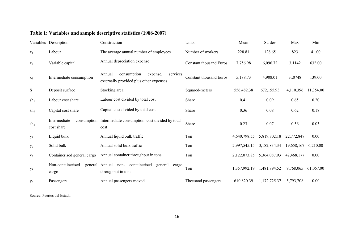|                       | Variables Description       | Construction                                                                             | Units                          | Mean         | St. dev      | Max        | Min       |
|-----------------------|-----------------------------|------------------------------------------------------------------------------------------|--------------------------------|--------------|--------------|------------|-----------|
| $X_1$                 | Labour                      | The average annual number of employees                                                   | Number of workers              | 228.81       | 128.65       | 823        | 41.00     |
| $X_2$                 | Variable capital            | Annual depreciation expense                                                              | <b>Constant thousand Euros</b> | 7,756.98     | 6,096.72     | 3,1142     | 632.00    |
| $X_3$                 | Intermediate consumption    | Annual<br>consumption<br>services<br>expense,<br>externally provided plus other expenses | Constant thousand Euros        | 5,188.73     | 4,908.01     | 3.,0748    | 139.00    |
| ${\bf S}$             | Deposit surface             | Stocking area                                                                            | Squared-meters                 | 556,482.38   | 672,155.93   | 4,110,396  | 11,354.00 |
| $\sh_1$               | Labour cost share           | Labour cost divided by total cost                                                        | Share                          | 0.41         | 0.09         | 0.65       | 0.20      |
| $\rm sh_2$            | Capital cost share          | Capital cost divided by total cost                                                       | <b>Share</b>                   | 0.36         | 0.08         | 0.62       | 0.18      |
| sh <sub>3</sub>       | Intermediate<br>cost share  | consumption Intermediate consumption cost divided by total<br>cost                       | Share                          | 0.23         | 0.07         | 0.56       | 0.03      |
| $y_1$                 | Liquid bulk                 | Annual liquid bulk traffic                                                               | Ton                            | 4,640,798.55 | 5,819,802.18 | 22,772,847 | 0.00      |
| $y_2$                 | Solid bulk                  | Annual solid bulk traffic                                                                | Ton                            | 2,997,545.15 | 3,182,834.34 | 19,658,167 | 6,210.00  |
| $y_3$                 | Containerised general cargo | Annual container throughput in tons                                                      | Ton                            | 2,122,073.85 | 5,364,087.93 | 42,468,177 | 0.00      |
| $y_4$                 | Non-containerised<br>cargo  | general Annual non-containerised<br>general<br>cargo<br>throughput in tons               | Ton                            | 1,357,992.19 | 1,481,894.52 | 9,768,065  | 61,067.00 |
| <b>y</b> <sub>5</sub> | Passengers                  | Annual passengers moved                                                                  | Thousand passengers            | 610,820.39   | 1,172,725.37 | 5,793,708  | 0.00      |

# **Table 1: Variables and sample descriptive statistics (1986-2007)**

Source: Puertos del Estado.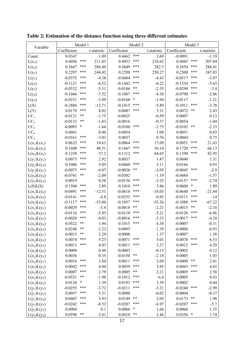| Variable        | Model 1     |        |             | Model 2     |        |             | Model 3     |            |             |
|-----------------|-------------|--------|-------------|-------------|--------|-------------|-------------|------------|-------------|
|                 | Coefficient |        | t-statistic | Coefficient |        | t-statistic | Coefficient |            | t-statistic |
| Const.          | 0.0347      |        | 1.09        | 0.4462      | ***    | 3.69        | $-0.0091$   |            | $-1.19$     |
| $L(x_1)$        | 0.4056      | ***    | 211.03      | 0.4053      | ***    | 210.62      | 0.4045      | ***        | 207.84      |
| $L(x_2)$        | 0.3647      | ***    | 286.46      | 0.3649      | ***    | 282.5       | 0.3654      | ***        | 284.41      |
| $L(x_3)$        | 0.2297      | ***    | 244.42      | 0.2298      | ***    | 250.27      | 0.2300      | ***        | 247.03      |
| $L(y_1)$        | $-0.0375$   | ***    | $-4.38$     | $-0.0484$   | ***    | $-4.43$     | $-0.0517$   | ***        | $-3.97$     |
| $L(y_2)$        | $-0.1121$   | ***    | $-6.52$     | $-0.1442$   | ***    | $-6.22$     | $-0.1534$   | ***        | $-5.63$     |
| $L(y_3)$        | $-0.0332$   | ***    | $-5.31$     | $-0.0186$   | **     | $-2.55$     | $-0.0294$   | ***        | $-3.4$      |
| $L(y_4)$        | $-0.1666$   | ***    | $-7.52$     | $-0.1067$   | $***$  | $-4.38$     | $-0.0790$   | ***        | $-2.86$     |
| $L(y_5)$        | $-0.0231$   | ***    | $-3.89$     | $-0.0168$   | $\ast$ | $-1.94$     | $-0.0117$   |            | $-1.21$     |
| L(S)            | $-0.2886$   | ***    | $-12.71$    | $-0.1415$   | ***    | $-5.89$     | $-0.1011$   | ***        | $-3.78$     |
| L(T)            | 0.0179      | ***    | 8.02        | 0.0087      | ***    | 3.31        | 0.0072      | $***$      | 2.43        |
| CC <sub>1</sub> | $-0.0121$   | $***$  | $-1.75$     | $-0.0025$   |        | $-0.59$     | 0.0007      |            | 0.13        |
| CC <sub>2</sub> | $-0.0133$   | **     | $-1.83$     | $-0.0016$   |        | $-0.37$     | $-0.0054$   |            | $-1.04$     |
| CC <sub>3</sub> | $-0.0095$   | $\ast$ | $-1.64$     | $-0.0100$   | ***    | $-2.75$     | $-0.0103$   | $***$      | $-2.33$     |
| CC <sub>4</sub> | 0.0041      |        | 0.46        | 0.0054      |        | 1.08        | 0.0051      |            | 0.83        |
| CC <sub>5</sub> | $-0.0161$   | ***    | $-3.03$     | 0.0037      |        | 0.76        | 0.0044      |            | 0.75        |
| $L(x_1)L(x_1)$  | 0.0632      | ***    | 10.63       | 0.0864      | ***    | 17.09       | 0.0951      | ***        | 21.43       |
| $L(x_2)L(x_2)$  | 0.1608      | ***    | 48.51       | 0.1667      | ***    | 56.14       | 0.1720      | ***        | 66.13       |
| $L(x_3)L(x_3)$  | 0.1258      | ***    | 57.2        | 0.1312      | $***$  | 64.65       | 0.1390      | ***        | 82.95       |
| $L(y_1)L(y_1)$  | 0.0073      | ***    | 2.92        | 0.0037      |        | 1.47        | 0.0040      |            | 1.31        |
| $L(y_2)L(y_2)$  | 0.1006      | ***    | 5.05        | 0.0460      | ***    | 3.11        | 0.0166      |            | 0.93        |
| $L(y_3)L(y_3)$  | $-0.0075$   | ***    | $-4.87$     | $-0.0026$   | $***$  | $-2.05$     | $-0.0045$   | ***        | $-2.9$      |
| $L(y_4)L(y_4)$  | $-0.0741$   | $***$  | $-2.09$     | $-0.0302$   |        | $-1.19$     | $-0.0484$   |            | $-1.57$     |
| $L(y_5)L(y_5)$  | 0.0019      |        | 0.38        | $-0.0156$   | ***    | $-3.25$     | $-0.0157$   | ***        | $-2.74$     |
| L(S)L(S)        | 0.1504      | ***    | 3.89        | 0.1010      | ***    | 3.86        | 0.0600      | ∗          | 1.89        |
| $L(x_1)L(x_2)$  | $-0.0491$   | ***    | $-12.51$    | $-0.0610$   | ***    | $-18.03$    | $-0.0640$   | ***        | $-21.44$    |
| $L(x_1)L(x_3)$  | $-0.0141$   | ***    | $-4.8$      | $-0.0255$   | ***    | $-9.85$     | $-0.0311$   | ***        | $-14$       |
| $L(x_2)L(x_3)$  | $-0.1117$   | ***    | $-53.06$    | $-0.1057$   | ***    | $-55.26$    | $-0.1080$   | ***        | $-67.22$    |
| $L(x_1)L(y_1)$  | $-0.0029$   | ***    | $-3.4$      | $-0.0018$   | $***$  | $-2.21$     | $-0.0015$   | $\ast\ast$ | $-2.16$     |
| $L(x_1)L(y_2)$  | $-0.0116$   | ***    | $-5.45$     | $-0.0110$   | ***    | $-5.21$     | $-0.0120$   | ***        | $-6.86$     |
| $L(x_1)L(y_3)$  | $-0.0020$   | ***    | $-4.03$     | $-0.0016$   | ***    | $-3.33$     | $-0.0017$   | ***        | $-4.24$     |
| $L(x_1)L(y_4)$  | 0.0522      | $***$  | 1.94        | 0.1015      | ***    | 6.38        | $-0.0007$   |            | $-0.31$     |
| $L(x_1)L(y_5)$  | 0.0248      | $***$  | 2.23        | 0.0095      |        | 1.39        | $-0.0006$   |            | $-0.93$     |
| $L(x_2)L(y_1)$  | 0.0013      | **     | 2.29        | 0.0008      |        | 1.37        | 0.0007      |            | 1.38        |
| $L(x_2)L(y_2)$  | 0.0074      | ***    | 5.23        | 0.0071      | ***    | 5.01        | 0.0078      | ***        | 6.53        |
| $L(x_2)L(y_3)$  | 0.0013      | ***    | 4.03        | 0.0011      | ***    | 3.37        | 0.0012      | ***        | 4.29        |
| $L(x_2)L(y_4)$  | 0.0009      |        | 0.48        | $-0.0003$   |        | $-0.15$     | 0.0002      |            | 0.12        |
| $L(x_2)L(y_5)$  | 0.0036      |        | 0.35        | $-0.0150$   | $***$  | $-2.18$     | 0.0005      |            | 1.03        |
| $L(x_3)L(y_1)$  | 0.0016      | $***$  | 3.84        | 0.0011      | ***    | 2.69        | 0.0009      | $***$      | 2.41        |
| $L(x_3)L(y_2)$  | 0.0042      | ***    | 4.04        | 0.0039      | ***    | 3.85        | 0.0043      | ***        | 4.65        |
| $L(x_3)L(y_3)$  | 0.0007      | ***    | 2.79        | 0.0005      | $***$  | 2.21        | 0.0005      | ***        | 2.58        |
| $L(x_3)L(y_4)$  | $-0.0531$   | **     | $-1.98$     | $-0.1012$   | ***    | $-6.4$      | 0.0005      |            | 0.43        |
| $L(x_3)L(y_5)$  | 0.0126      | *      | 1.39        | 0.0193      | ***    | 3.39        | 0.0002      |            | 0.44        |
| $L(y_1)L(y_2)$  | $-0.0255$   | ***    | $-3.72$     | $-0.0211$   | ***    | $-3.21$     | $-0.0240$   | ***        | $-2.99$     |
| $L(y_1)L(y_3)$  | 0.0057      | ***    | 5.31        | 0.0000      |        | $-0.02$     | $-0.0004$   |            | $-0.37$     |
| $L(y_1)L(y_4)$  | 0.0407      | ***    | 3.93        | 0.0149      | $***$  | 2.05        | 0.0173      | $***$      | 1.98        |
| $L(y_1)L(y_5)$  | $-0.0242$   | ***    | $-8.52$     | $-0.0207$   | ***    | $-6.97$     | $-0.0207$   | ***        | $-5.7$      |
| $L(y_2)L(y_3)$  | 0.0004      |        | 0.1         | 0.0066      | $\ast$ | 1.66        | 0.0066      |            | 1.35        |
| $L(y_2)L(y_4)$  | 0.0590      | $***$  | 2.41        | 0.0410      | $***$  | 2.46        | 0.0356      | $\ast$     | 1.74        |

**Table 2: Estimation of the distance function using three different estimates**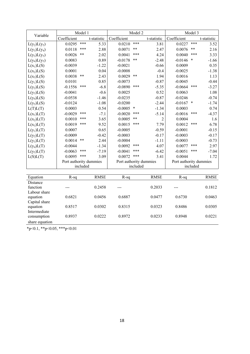| Variable                  | Model 1                |            |             | Model 2                |          |                | Model 3                |          |             |
|---------------------------|------------------------|------------|-------------|------------------------|----------|----------------|------------------------|----------|-------------|
|                           | Coefficient            |            | t-statistic | Coefficient            |          | t-statistic    | Coefficient            |          | t-statistic |
| $L(y_2)L(y_5)$            | 0.0295                 | ***        | 5.33        | 0.0210                 | ***      | 3.81           | 0.0227                 | ***      | 3.52        |
| $L(y_3)L(y_4)$            | 0.0118                 | $***$      | 2.88        | 0.0071                 | $***$    | 2.47           | 0.0076                 | $***$    | 2.16        |
| $L(y_3)L(y_5)$            | 0.0026                 | $***$      | 2.02        | 0.0041                 | ***      | 4.24           | 0.0040                 | ***      | 3.33        |
| $L(y_4)L(y_5)$            | 0.0083                 |            | 0.89        | $-0.0178$              | $***$    | $-2.48$        | $-0.0146$              | $\ast$   | $-1.66$     |
| $L(x_1)L(S)$              | $-0.0039$              |            | $-1.22$     | $-0.0021$              |          | $-0.66$        | 0.0009                 |          | 0.35        |
| $L(x_2)L(S)$              | 0.0001                 |            | 0.04        | $-0.0008$              |          | $-0.4$         | $-0.0025$              |          | $-1.38$     |
| $L(x_3)L(S)$              | 0.0038                 | $***$      | 2.43        | 0.0029                 | $***$    | 1.94           | 0.0016                 |          | 1.13        |
| $L(y_1)L(S)$              | 0.0101                 |            | 0.85        | $-0.0073$              |          | $-0.87$        | $-0.0045$              |          | $-0.44$     |
| $L(y_2)L(S)$              | $-0.1556$              | ***        | $-6.8$      | $-0.0890$              | ***      | $-5.35$        | $-0.0664$              | ***      | $-3.27$     |
| $L(y_3)L(S)$              | $-0.0041$              |            | $-0.6$      | 0.0025                 |          | 0.52           | 0.0063                 |          | 1.08        |
| $L(y_4)L(S)$              | $-0.0538$              |            | $-1.46$     | $-0.0235$              |          | $-0.87$        | $-0.0246$              |          | $-0.74$     |
| $L(y_5)L(S)$              | $-0.0124$              |            | $-1.08$     | $-0.0200$              |          | $-2.44$        | $-0.0167$ *            |          | $-1.74$     |
| L(T)L(T)                  | 0.0003                 |            | 0.54        | $-0.0005$              | $\ast$   | $-1.34$        | 0.0003                 |          | 0.74        |
| $L(x_1)L(T)$              | $-0.0029$              | ***        | $-7.1$      | $-0.0020$              | ***      | $-5.14$        | $-0.0016$              | ***      | $-4.37$     |
| $L(x_2)L(T)$              | 0.0010                 | ***        | 3.65        | 0.0005                 | $***$    | $\overline{c}$ | 0.0004                 |          | 1.6         |
| $L(x_3)L(T)$              | 0.0019                 | ***        | 9.52        | 0.0015                 | ***      | 7.79           | 0.0012                 | ***      | 6.78        |
| $L(y_1)L(T)$              | 0.0007                 |            | 0.65        | $-0.0005$              |          | $-0.59$        | $-0.0001$              |          | $-0.15$     |
| $L(y_2)L(T)$              | $-0.0009$              |            | $-0.42$     | $-0.0003$              |          | $-0.17$        | $-0.0003$              |          | $-0.17$     |
| $L(y_3)L(T)$              | 0.0014                 | $\ast\ast$ | 2.44        | $-0.0004$              |          | $-1.11$        | $-0.0003$              |          | $-0.73$     |
| $L(y_4)L(T)$              | $-0.0044$              |            | $-1.34$     | 0.0092                 | ***      | 4.07           | 0.0077                 | ***      | 2.97        |
| $L(y_5)L(T)$              | $-0.0063$              | ***        | $-7.19$     | $-0.0041$              | ***      | $-6.42$        | $-0.0051$              | ***      | $-7.04$     |
| L(S)L(T)                  | 0.0095                 | $***$      | 3.09        | 0.0072                 | $***$    | 3.41           | 0.0044                 |          | 1.72        |
|                           | Port authority dummies |            |             | Port authority dummies |          |                | Port authority dummies |          |             |
|                           |                        | included   |             |                        | included |                |                        | included |             |
|                           |                        |            |             |                        |          |                |                        |          |             |
| Equation                  | $R$ -sq                |            | <b>RMSE</b> | $R$ -sq                |          | <b>RMSE</b>    | $R-sq$                 |          | <b>RMSE</b> |
| Distance                  |                        |            |             |                        |          |                |                        |          |             |
| function                  |                        |            | 0.2458      | ---                    |          | 0.2033         | ---                    |          | 0.1812      |
| Labour share              |                        |            |             |                        |          |                |                        |          |             |
| equation<br>Capital share | 0.6821                 |            | 0.0456      | 0.6887                 |          | 0.0477         | 0.6730                 |          | 0.0463      |
| equation                  | 0.8517                 |            | 0.0302      | 0.8315                 |          | 0.0323         | 0.8486                 |          | 0.0305      |
| Intermediate              |                        |            |             |                        |          |                |                        |          |             |
| consumption               | 0.8937                 |            | 0.0222      | 0.8972                 |          | 0.0233         | 0.8948                 |          | 0.0221      |
| share equation            |                        |            |             |                        |          |                |                        |          |             |

 $*p<0.1$ ,  $*p<0.05$ ,  $**p<0.01$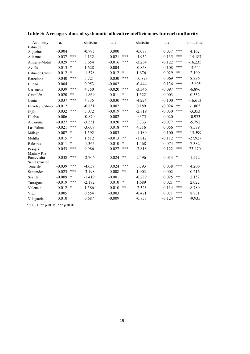| Authority                                  | $a_{x1}$ |        | t-statistic | $a_{x2}$ |        | t-statistic | $a_{x3}$ |        | t-statistic |
|--------------------------------------------|----------|--------|-------------|----------|--------|-------------|----------|--------|-------------|
| Bahía de<br>Algeciras                      | $-0.004$ |        | $-0.795$    | 0.000    |        | $-0.088$    | 0.037    | ***    | 4.162       |
| Alicante                                   | 0.037    | ***    | 4.132       | $-0.021$ | ***    | $-4.952$    | $-0.135$ | ***    | $-14.187$   |
| Almería-Motril                             | 0.029    | ***    | 3.654       | $-0.016$ | ***    | $-3.234$    | $-0.122$ | ***    | $-16.235$   |
| Avilés                                     | 0.013    | $\ast$ | 1.628       | $-0.004$ |        | $-0.858$    | 0.108    | ***    | 14.644      |
| Bahía de Cádiz                             | $-0.012$ | *      | $-1.578$    | 0.012    | $\ast$ | 1.676       | 0.029    | **     | 2.100       |
| Barcelona                                  | 0.040    | ***    | 5.721       | $-0.030$ | ***    | $-10.893$   | 0.069    | ***    | 8.336       |
| Bilbao                                     | 0.004    |        | 0.953       | $-0.002$ |        | $-0.444$    | 0.136    | ***    | 15.695      |
| Cartagena                                  | 0.039    | ***    | 4.750       | $-0.020$ | ***    | $-3.346$    | $-0.097$ | ***    | $-6.896$    |
| Castellón                                  | $-0.020$ | **     | $-1.869$    | 0.011    | $\ast$ | 1.522       | 0.003    |        | 0.532       |
| Ceuta                                      | 0.037    | ***    | 4.335       | $-0.030$ | ***    | $-4.224$    | $-0.100$ | ***    | $-16.613$   |
| Ferrol-S. Cibrao                           | $-0.012$ |        | $-0.851$    | 0.002    |        | 0.189       | $-0.024$ | $***$  | $-1.805$    |
| Gijón                                      | 0.032    | ***    | 3.072       | $-0.019$ | ***    | $-2.819$    | $-0.030$ | ***    | $-3.353$    |
| Huelva                                     | $-0.006$ |        | $-0.870$    | 0.002    |        | 0.375       | $-0.020$ |        | $-0.973$    |
| A Coruña                                   | $-0.027$ | ***    | $-3.551$    | 0.020    | ***    | 3.733       | $-0.077$ | ***    | $-5.792$    |
| Las Palmas                                 | $-0.021$ | ***    | $-3.609$    | 0.018    | ***    | 4.316       | 0.056    | ***    | 8.579       |
| Málaga                                     | 0.007    | $\ast$ | 1.592       | $-0.003$ |        | $-1.180$    | $-0.100$ | ***    | $-15.599$   |
| Melilla                                    | 0.015    | $\ast$ | 1.512       | $-0.013$ | $***$  | $-1.812$    | $-0.112$ | ***    | $-27.927$   |
| <b>Baleares</b>                            | $-0.011$ | *      | $-1.365$    | 0.010    | $\ast$ | 1.468       | 0.074    | ***    | 7.382       |
| Pasajes                                    | 0.053    | ***    | 9.986       | $-0.027$ | ***    | $-7.818$    | 0.122    | ***    | 23.470      |
| Marín y Ría<br>Pontevedra<br>Santa Cruz de | $-0.038$ | ***    | $-2.706$    | 0.024    | **     | 2.496       | 0.013    | $\ast$ | 1.572       |
| Tenerife                                   | $-0.039$ | ***    | $-4.639$    | 0.024    | ***    | 3.793       | 0.038    | ***    | 4.206       |
| Santander                                  | $-0.023$ | ***    | $-3.198$    | 0.008    | **     | 1.903       | 0.002    |        | 0.216       |
| Sevilla                                    | $-0.009$ | $\ast$ | $-1.419$    | $-0.001$ |        | $-0.289$    | 0.025    | $***$  | 2.152       |
| Tarragona                                  | $-0.019$ | ***    | $-2.182$    | 0.010    | $\ast$ | 1.689       | 0.021    | **     | 2.022       |
| Valencia                                   | 0.012    | $\ast$ | 1.586       | $-0.010$ | **     | $-2.323$    | 0.114    | ***    | 8.789       |
| Vigo                                       | 0.005    |        | 0.554       | $-0.003$ |        | $-0.471$    | 0.071    | ***    | 8.831       |
| Vilagarcía                                 | 0.010    |        | 0.687       | $-0.009$ |        | $-0.858$    | $-0.124$ | ***    | $-9.935$    |

**Table 3: Average values of systematic allocative inefficiencies for each authority** 

\* p<0.1, \*\* p<0.05, \*\*\* p<0.01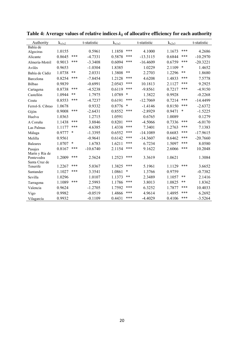| Authority                                     | $k_{x1x2}$ |        | t-statistic | $k_{x1x3}$ |        | t-statistic | $k_{x2x3}$ |        | t-statistic |
|-----------------------------------------------|------------|--------|-------------|------------|--------|-------------|------------|--------|-------------|
| Bahía de                                      |            |        |             |            |        |             |            |        |             |
| Algeciras                                     | 1.0155     |        | 0.5961      | 1.1858     | ***    | 4.1000      | 1.1673     | ***    | 4.2686      |
| Alicante                                      | 0.8645     | ***    | $-4.7331$   | 0.5878     | ***    | $-13.3115$  | 0.6844     | ***    | $-10.2970$  |
| Almería-Motril                                | 0.9013     | ***    | $-3.3408$   | 0.6094     | ***    | $-16.4609$  | 0.6759     | ***    | $-20.3221$  |
| Avilés                                        | 0.9653     |        | $-1.0304$   | 1.8385     |        | 1.0229      | 2.1109     | $\ast$ | 1.4652      |
| Bahía de Cádiz                                | 1.0738     | $***$  | 2.0331      | 1.3808     | $***$  | 2.2703      | 1.2296     | $***$  | 1.8680      |
| Barcelona                                     | 0.8254     | ***    | $-7.8454$   | 1.2128     | ***    | 4.6208      | 1.4833     | ***    | 7.5778      |
| Bilbao                                        | 0.9839     |        | $-0.6991$   | 2.0543     | ***    | 10.1813     | 2.1127     | ***    | 9.2925      |
| Cartagena                                     | 0.8738     | ***    | $-4.5238$   | 0.6119     | ***    | $-9.8561$   | 0.7217     | ***    | $-4.9150$   |
| Castellón                                     | 1.0944     | $***$  | 1.7975      | 1.0789     | $\ast$ | 1.3822      | 0.9928     |        | $-0.2268$   |
| Ceuta                                         | 0.8553     | ***    | $-4.7237$   | 0.6191     | ***    | $-12.7069$  | 0.7214     | ***    | $-14.4499$  |
| Ferrol-S. Cibrao                              | 1.0678     |        | 0.9332      | 0.8776     | $\ast$ | $-1.4146$   | 0.8150     | ***    | $-2.6372$   |
| Gijón                                         | 0.9008     | ***    | $-2.6431$   | 0.8552     | ***    | $-2.8929$   | 0.9471     | $\ast$ | $-1.5225$   |
| Huelva                                        | 1.0363     |        | 1.2715      | 1.0591     |        | 0.6765      | 1.0089     |        | 0.1279      |
| A Coruña                                      | 1.1438     | ***    | 3.8846      | 0.8201     | ***    | $-4.5066$   | 0.7336     | ***    | $-6.0170$   |
| Las Palmas                                    | 1.1177     | ***    | 4.6385      | 1.4338     | ***    | 7.3401      | 1.2763     | ***    | 7.1383      |
| Málaga                                        | 0.9777     | $\ast$ | $-1.3395$   | 0.6552     | ***    | $-14.1089$  | 0.6683     | ***    | $-17.9615$  |
| Melilla                                       | 0.9561     |        | $-0.9641$   | 0.6142     | ***    | $-14.3607$  | 0.6462     | ***    | $-20.7660$  |
| <b>Baleares</b>                               | 1.0707     | $\ast$ | 1.6783      | 1.6211     | ***    | 6.7234      | 1.5097     | ***    | 8.0580      |
| Pasajes                                       | 0.8167     | ***    | $-10.6740$  | 2.1154     | ***    | 9.1622      | 2.6066     | ***    | 10.2048     |
| Marín y Ría de<br>Pontevedra<br>Santa Cruz de | 1.2009     | ***    | 2.5624      | 1.2523     | ***    | 3.3619      | 1.0621     |        | 1.3084      |
| Tenerife                                      | 1.2267     | ***    | 5.0367      | 1.3825     | ***    | 5.1961      | 1.1129     | ***    | 3.6652      |
| Santander                                     | 1.1027     | ***    | 3.3541      | 1.0861     | $\ast$ | 1.3766      | 0.9759     |        | $-0.7382$   |
| Sevilla                                       | 1.0296     |        | 1.0107      | 1.1373     | $***$  | 2.3489      | 1.1057     | $***$  | 2.1416      |
| Tarragona                                     | 1.1089     | ***    | 2.5993      | 1.1786     | ***    | 3.8013      | 1.0825     | $***$  | 1.8362      |
| Valencia                                      | 0.9624     |        | $-1.2705$   | 1.7592     | ***    | 6.3252      | 1.7877     | ***    | 10.4033     |
| Vigo                                          | 0.9982     |        | $-0.0519$   | 1.4866     | ***    | 4.9614      | 1.4895     | ***    | 6.2692      |
| Vilagarcía                                    | 0.9932     |        | $-0.1109$   | 0.4431     | ***    | $-4.4029$   | 0.4106     | ***    | $-3.5264$   |

**Table 4: Average values of relative indices** *kij* **of allocative efficiency for each authority**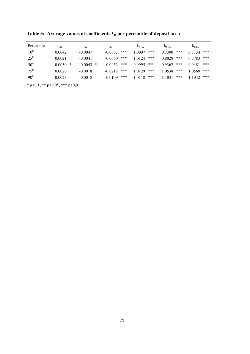| Percentile       | $a_{x1}$    | $a_{x2}$       | $a_{x3}$         | $K_{x1x2}$       | $K_{x1x3}$    | $K_{x2x3}$    |
|------------------|-------------|----------------|------------------|------------------|---------------|---------------|
| $10^{\text{th}}$ | 0.0042      | $-0.0047$      | ***<br>$-0.0867$ | ***<br>1 0097    | ***<br>0.7300 | ***<br>0.7134 |
| $25^{\text{th}}$ | 0.0021      | $-0.0041$      | ***<br>$-0.0660$ | ***<br>1 0 1 2 4 | ***<br>0.8028 | ***<br>0.7783 |
| $50^{\text{th}}$ | *<br>0.0050 | ∗<br>$-0.0043$ | ***<br>$-0.0452$ | ***<br>0.9995    | ***<br>0.9362 | ***<br>0.9481 |
| $75^{\text{th}}$ | 0.0026      | $-0.0018$      | ***<br>$-0.0218$ | ***<br>1 0 1 2 9 | ***<br>1.0538 | ***<br>1.0560 |
| 90 <sup>th</sup> | 0.0023      | $-0.0018$      | ***<br>$-0.0109$ | ***<br>1.0118    | ***<br>1.1031 | ***<br>.1042  |

**Table 5: Average values of coefficients** *kij* **per percentile of deposit area** 

\* p<0,1, \*\* p<0,05, \*\*\* p<0,01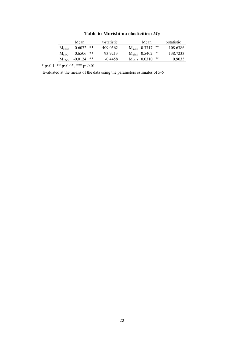Mean t-statistic Mean t-statistic  $M_{x1x2}$  0.6072 \*\* 409.0562  $M_{x2x1}$  0.3717 \*\* 108.6386<br>  $M_{x1x3}$  0.6506 \*\* 93.9213  $M_{x3x1}$  0.5402 \*\* 138.7233  $\begin{array}{ccccccccc} \rm{M}_{x1x3} & 0.6506 & ** & 93.9213 & & \rm{M}_{x3x1} & 0.5402 & ** & & 138.7233 \\ \rm{M}_{x2x3} & -0.0124 & ** & -0.4458 & & \rm{M}_{x3x2} & 0.0310 & ** & & 0.9035 \\ \end{array}$  $M_{x2x3}$  -0.0124 \*\* -0.4458  $M_{x3x2}$  0.0310 \*\* 0.9035

**Table 6: Morishima elasticities:** *Mij*

\* p<0.1, \*\* p<0.05, \*\*\* p<0.01

Evaluated at the means of the data using the parameters estimates of 5-6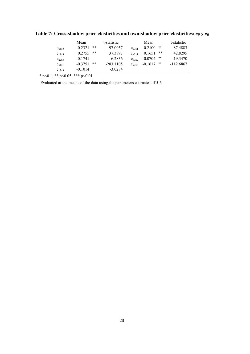|            | Mean      |    | t-statistic |                | Mean      |       | t-statistic |
|------------|-----------|----|-------------|----------------|-----------|-------|-------------|
| $e_{x1x2}$ | 0 2 3 2 1 | ** | 97 0037     | $e_{x2x1}$     | 0.2100    | $***$ | 87.4883     |
| $e_{x1x3}$ | 0.2755    | ** | 37.3897     | $e_{x3x1}$     | 0.1651    | **    | 42 8295     |
| $e_{x2x3}$ | $-0.1741$ |    | $-62836$    | $e_{x3x2}$     | $-0.0704$ | $***$ | $-193470$   |
| $e_{x1x1}$ | $-0.3751$ | ** | $-283.1105$ | $e_{\rm v2v2}$ | $-0.1617$ | **    | -112.6867   |
| $e_{x3x3}$ | $-0.1014$ |    | $-3.0284$   |                |           |       |             |

Table 7: Cross-shadow price elasticities and own-shadow price elasticities:  $e_{ij}$  y  $e_{ii}$ 

\* p<0.1, \*\* p<0.05, \*\*\* p<0.01

Evaluated at the means of the data using the parameters estimates of 5-6